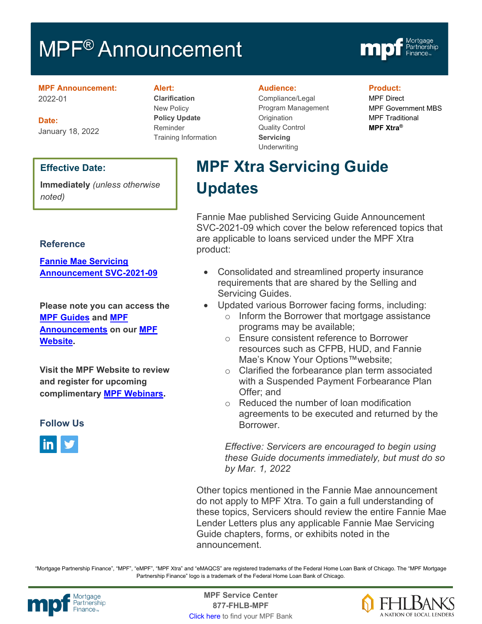# MPF<sup>®</sup> Announcement



#### **MPF Announcement:** 2022-01

**Date:** January 18, 2022

### **Effective Date:**

**Immediately** *(unless otherwise noted)* 

### **Reference**

**[Fannie Mae Servicing](https://singlefamily.fanniemae.com/media/30241/display)  [Announcement SVC-2021-09](https://singlefamily.fanniemae.com/media/30241/display)**

**Please note you can access the [MPF Guides](https://fhlbmpf.com/mpf-guides/guides) and [MPF](https://fhlbmpf.com/mpf-guides/announcements)  [Announcements](https://fhlbmpf.com/mpf-guides/announcements) on our [MPF](https://fhlbmpf.com/)  [Website.](https://fhlbmpf.com/)** 

**Visit the MPF Website to review and register for upcoming complimentary [MPF Webinars.](https://www.fhlbmpf.com/education/upcoming-webinars)**

### **Follow Us**



#### **Alert:**

**Clarification** New Policy **Policy Update** Reminder Training Information

#### **Audience:**

Compliance/Legal Program Management **Origination** Quality Control **Servicing Underwriting** 

### **Product:**

MPF Direct MPF Government MBS MPF Traditional **MPF Xtra®**

# **MPF Xtra Servicing Guide Updates**

Fannie Mae published Servicing Guide Announcement SVC-2021-09 which cover the below referenced topics that are applicable to loans serviced under the MPF Xtra product:

- Consolidated and streamlined property insurance requirements that are shared by the Selling and Servicing Guides.
- Updated various Borrower facing forms, including:
	- o Inform the Borrower that mortgage assistance programs may be available;
	- o Ensure consistent reference to Borrower resources such as CFPB, HUD, and Fannie Mae's Know Your Options™website;
	- o Clarified the forbearance plan term associated with a Suspended Payment Forbearance Plan Offer; and
	- o Reduced the number of loan modification agreements to be executed and returned by the **Borrower**

*Effective: Servicers are encouraged to begin using these Guide documents immediately, but must do so by Mar. 1, 2022*

Other topics mentioned in the Fannie Mae announcement do not apply to MPF Xtra. To gain a full understanding of these topics, Servicers should review the entire Fannie Mae Lender Letters plus any applicable Fannie Mae Servicing Guide chapters, forms, or exhibits noted in the announcement.

"Mortgage Partnership Finance", "MPF", "eMPF", "MPF Xtra" and "eMAQCS" are registered trademarks of the Federal Home Loan Bank of Chicago. The "MPF Mortgage Partnership Finance" logo is a trademark of the Federal Home Loan Bank of Chicago.



Mortgage **Center Service Center**<br>Partnership **Canadian Center Service Center**<br> **Partnership CALL SANGE CANADIAN CENTER SERVICE PROPERTY 877-FHLB-MPF** [Click here](https://www.fhlbmpf.com/fhlbanks/fhlbanks) to find your MPF Bank

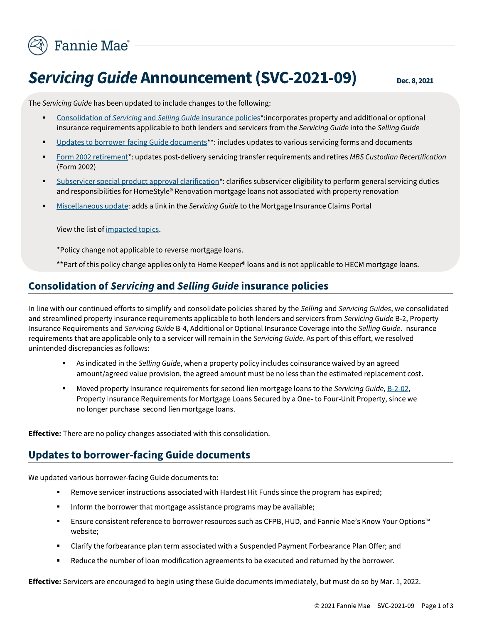

# **Servicing Guide Announcement (SVC-2021-09)**

Dec. 8, 2021

The Servicing Guide has been updated to include changes to the following:

- $\blacksquare$ Consolidation of Servicing and Selling Guide insurance policies\*:incorporates property and additional or optional insurance requirements applicable to both lenders and servicers from the Servicing Guide into the Selling Guide
- Updates to borrower-facing Guide documents\*\*: includes updates to various servicing forms and documents
- Form 2002 retirement\*: updates post-delivery servicing transfer requirements and retires MBS Custodian Recertification  $\blacksquare$ (Form 2002)
- Subservicer special product approval clarification\*: clarifies subservicer eligibility to perform general servicing duties and responsibilities for HomeStyle® Renovation mortgage loans not associated with property renovation
- Miscellaneous update: adds a link in the Servicing Guide to the Mortgage Insurance Claims Portal

View the list of impacted topics.

\*Policy change not applicable to reverse mortgage loans.

\*\*Part of this policy change applies only to Home Keeper® loans and is not applicable to HECM mortgage loans.

### **Consolidation of Servicing and Selling Guide insurance policies**

In line with our continued efforts to simplify and consolidate policies shared by the Selling and Servicing Guides, we consolidated and streamlined property insurance requirements applicable to both lenders and servicers from Servicing Guide B-2, Property Insurance Requirements and Servicing Guide B-4, Additional or Optional Insurance Coverage into the Selling Guide. Insurance requirements that are applicable only to a servicer will remain in the Servicing Guide. As part of this effort, we resolved unintended discrepancies as follows:

- As indicated in the Selling Guide, when a property policy includes coinsurance waived by an agreed amount/agreed value provision, the agreed amount must be no less than the estimated replacement cost.
- $\blacksquare$ Moved property insurance requirements for second lien mortgage loans to the Servicing Guide, B-2-02, Property Insurance Requirements for Mortgage Loans Secured by a One- to Four-Unit Property, since we no longer purchase second lien mortgage loans.

Effective: There are no policy changes associated with this consolidation.

### **Updates to borrower-facing Guide documents**

We updated various borrower-facing Guide documents to:

- Remove servicer instructions associated with Hardest Hit Funds since the program has expired;
- Inform the borrower that mortgage assistance programs may be available;
- Ensure consistent reference to borrower resources such as CFPB, HUD, and Fannie Mae's Know Your Options™ website;
- Clarify the forbearance plan term associated with a Suspended Payment Forbearance Plan Offer; and
- Reduce the number of loan modification agreements to be executed and returned by the borrower.

Effective: Servicers are encouraged to begin using these Guide documents immediately, but must do so by Mar. 1, 2022.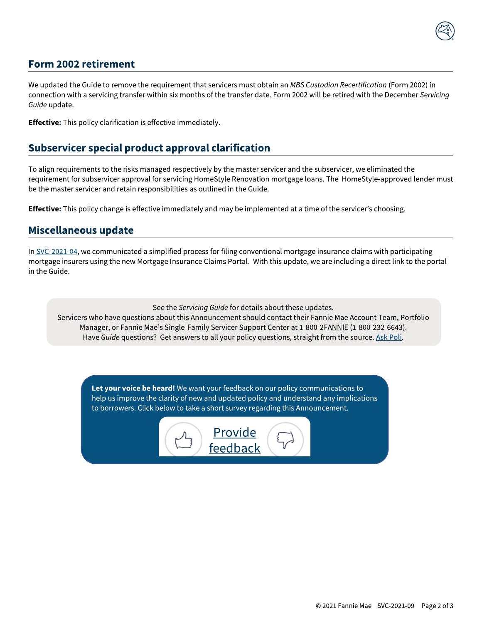## **Form 2002 retirement**

We updated the Guide to remove the requirement that servicers must obtain an MBS Custodian Recertification (Form 2002) in connection with a servicing transfer within six months of the transfer date. Form 2002 will be retired with the December Servicing Guide update.

**Effective:** This policy clarification is effective immediately.

### **Subservicer special product approval clarification**

To align requirements to the risks managed respectively by the master servicer and the subservicer, we eliminated the requirement for subservicer approval for servicing HomeStyle Renovation mortgage loans. The HomeStyle-approved lender must be the master servicer and retain responsibilities as outlined in the Guide.

**Effective:** This policy change is effective immediately and may be implemented at a time of the servicer's choosing.

### **Miscellaneous update**

In SVC-2021-04, we communicated a simplified process for filing conventional mortgage insurance claims with participating mortgage insurers using the new Mortgage Insurance Claims Portal. With this update, we are including a direct link to the portal in the Guide.

See the Servicing Guide for details about these updates.

Servicers who have questions about this Announcement should contact their Fannie Mae Account Team, Portfolio Manager, or Fannie Mae's Single-Family Servicer Support Center at 1-800-2FANNIE (1-800-232-6643). Have Guide questions? Get answers to all your policy questions, straight from the source. Ask Poli.

Let your voice be heard! We want your feedback on our policy communications to help us improve the clarity of new and updated policy and understand any implications to borrowers. Click below to take a short survey regarding this Announcement.

> <u>Provide</u> feedback